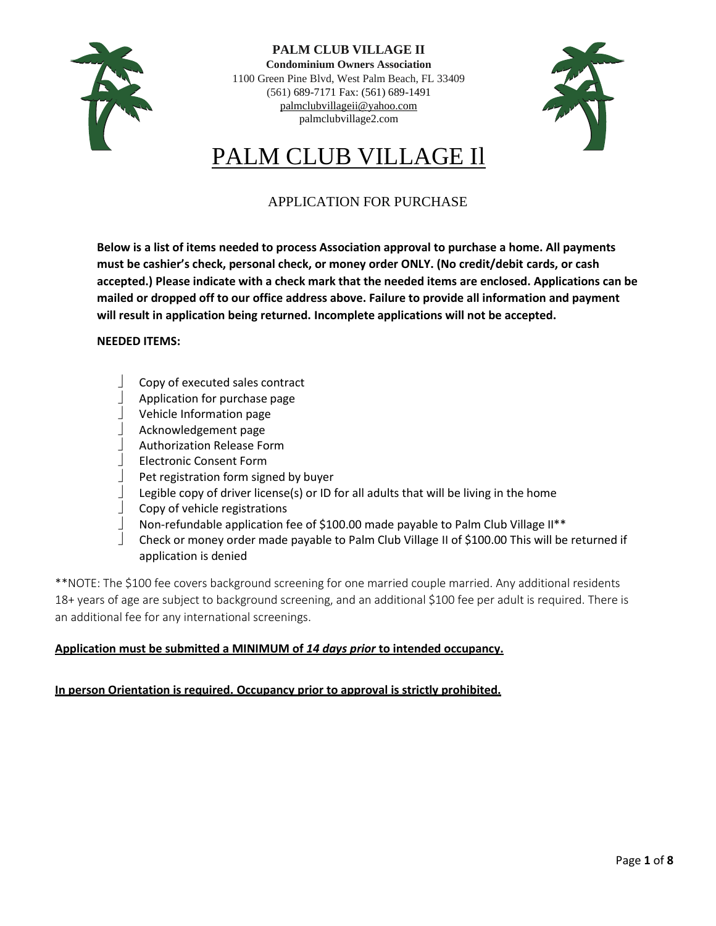

**PALM CLUB VILLAGE II Condominium Owners Association** 1100 Green Pine Blvd, West Palm Beach, FL 33409 (561) 689-7171 Fax: (561) 689-1491 [palmclubvillageii@yahoo.com](mailto:palmclubvillageii@yahoo.com) palmclubvillage2.com



# PALM CLUB VILLAGE Il

# APPLICATION FOR PURCHASE

**Below is a list of items needed to process Association approval to purchase a home. All payments must be cashier's check, personal check, or money order ONLY. (No credit/debit cards, or cash accepted.) Please indicate with a check mark that the needed items are enclosed. Applications can be mailed or dropped off to our office address above. Failure to provide all information and payment will result in application being returned. Incomplete applications will not be accepted.**

### **NEEDED ITEMS:**

- Copy of executed sales contract
- $\Box$  Application for purchase page
- Vehicle Information page
- Acknowledgement page
- Authorization Release Form
- Electronic Consent Form
- Pet registration form signed by buyer
- Legible copy of driver license(s) or ID for all adults that will be living in the home
- Copy of vehicle registrations
- Non-refundable application fee of \$100.00 made payable to Palm Club Village II\*\*
- Check or money order made payable to Palm Club Village II of \$100.00 This will be returned if application is denied

\*\*NOTE: The \$100 fee covers background screening for one married couple married. Any additional residents 18+ years of age are subject to background screening, and an additional \$100 fee per adult is required. There is an additional fee for any international screenings.

### **Application must be submitted a MINIMUM of** *14 days prior* **to intended occupancy.**

### **In person Orientation is required. Occupancy prior to approval is strictly prohibited.**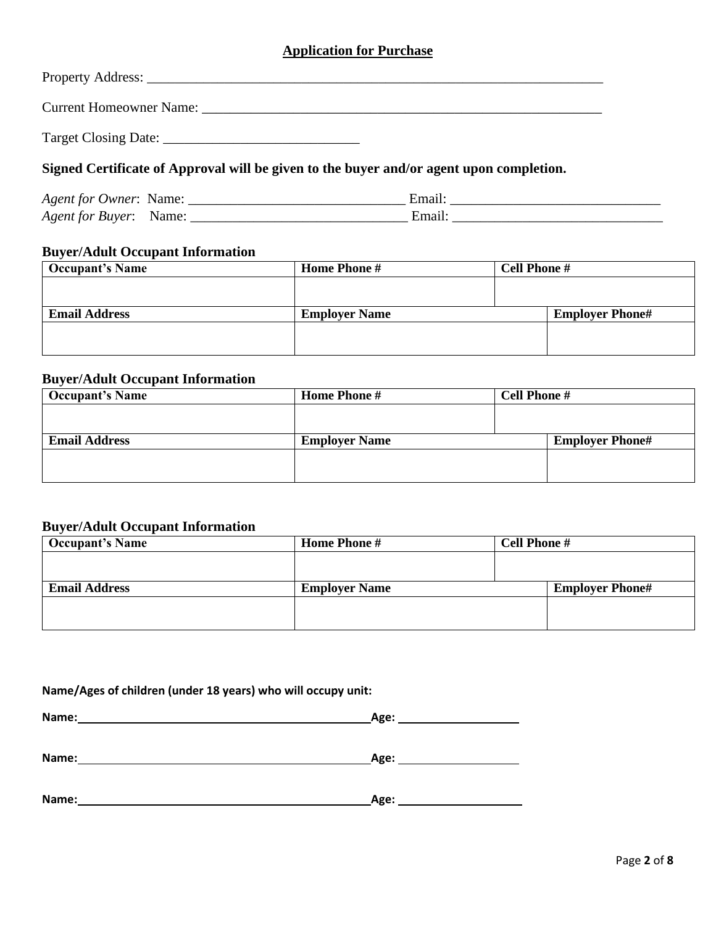## **Application for Purchase**

| Property Address:              |  |
|--------------------------------|--|
| <b>Current Homeowner Name:</b> |  |
| Target Closing Date:           |  |

# **Signed Certificate of Approval will be given to the buyer and/or agent upon completion.**

| <i>Agent for Owner:</i> | Name: |  |
|-------------------------|-------|--|
| <i>Agent for Buyer:</i> |       |  |

# **Buyer/Adult Occupant Information**

| <b>Occupant's Name</b> | Home Phone #         | <b>Cell Phone #</b>    |
|------------------------|----------------------|------------------------|
|                        |                      |                        |
|                        |                      |                        |
| <b>Email Address</b>   | <b>Employer Name</b> | <b>Employer Phone#</b> |
|                        |                      |                        |
|                        |                      |                        |
|                        |                      |                        |

## **Buyer/Adult Occupant Information**

| <b>Occupant's Name</b> | <b>Home Phone #</b>  | <b>Cell Phone #</b> |                        |
|------------------------|----------------------|---------------------|------------------------|
|                        |                      |                     |                        |
|                        |                      |                     |                        |
| <b>Email Address</b>   | <b>Employer Name</b> |                     | <b>Employer Phone#</b> |
|                        |                      |                     |                        |
|                        |                      |                     |                        |
|                        |                      |                     |                        |

### **Buyer/Adult Occupant Information**

| <b>Occupant's Name</b> | <b>Home Phone #</b>  | <b>Cell Phone #</b>    |
|------------------------|----------------------|------------------------|
|                        |                      |                        |
|                        |                      |                        |
| <b>Email Address</b>   | <b>Employer Name</b> | <b>Employer Phone#</b> |
|                        |                      |                        |
|                        |                      |                        |
|                        |                      |                        |

## **Name/Ages of children (under 18 years) who will occupy unit:**

| Name: | --- |
|-------|-----|
|       |     |
|       |     |

| Name:<br>______ | Age: |
|-----------------|------|
|                 |      |

| Name: | Age: |
|-------|------|
|       |      |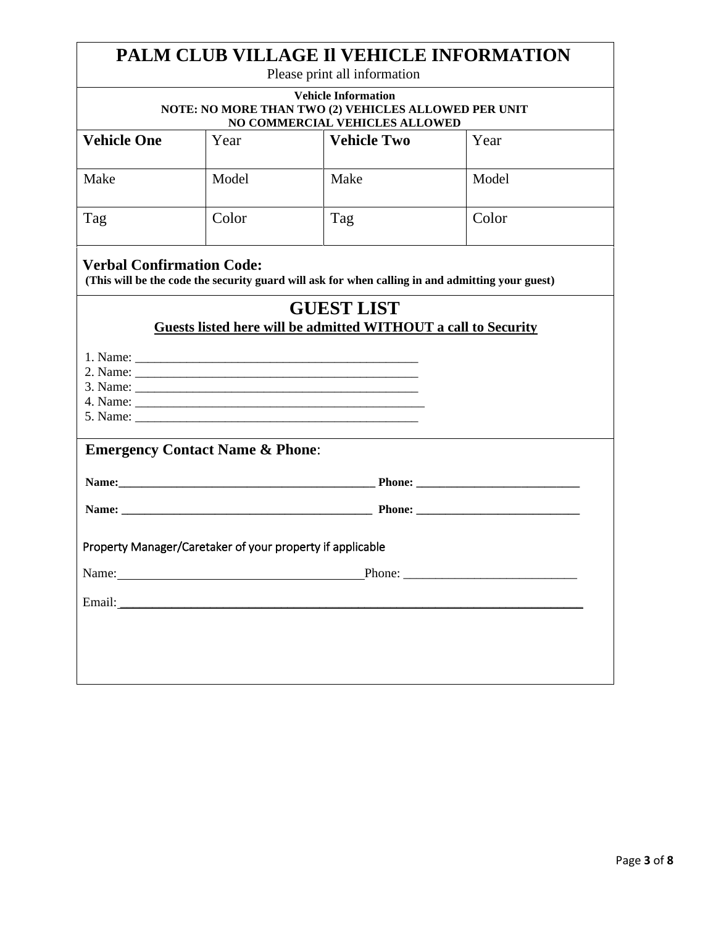|                                                                                                                                                                                                                                |                                                                                                                      | PALM CLUB VILLAGE II VEHICLE INFORMATION<br>Please print all information                                                                                                                                                       |        |
|--------------------------------------------------------------------------------------------------------------------------------------------------------------------------------------------------------------------------------|----------------------------------------------------------------------------------------------------------------------|--------------------------------------------------------------------------------------------------------------------------------------------------------------------------------------------------------------------------------|--------|
|                                                                                                                                                                                                                                | <b>Vehicle Information</b><br>NOTE: NO MORE THAN TWO (2) VEHICLES ALLOWED PER UNIT<br>NO COMMERCIAL VEHICLES ALLOWED |                                                                                                                                                                                                                                |        |
| <b>Vehicle One</b>                                                                                                                                                                                                             | Year                                                                                                                 | <b>Vehicle Two</b>                                                                                                                                                                                                             | Year   |
| Make                                                                                                                                                                                                                           | Model                                                                                                                | Make                                                                                                                                                                                                                           | Model  |
| Tag                                                                                                                                                                                                                            | Color                                                                                                                | Tag                                                                                                                                                                                                                            | Color  |
| <b>Verbal Confirmation Code:</b>                                                                                                                                                                                               |                                                                                                                      | (This will be the code the security guard will ask for when calling in and admitting your guest)                                                                                                                               |        |
|                                                                                                                                                                                                                                |                                                                                                                      | <b>GUEST LIST</b><br>Guests listed here will be admitted WITHOUT a call to Security                                                                                                                                            |        |
|                                                                                                                                                                                                                                |                                                                                                                      |                                                                                                                                                                                                                                |        |
| <b>Emergency Contact Name &amp; Phone:</b>                                                                                                                                                                                     |                                                                                                                      |                                                                                                                                                                                                                                |        |
|                                                                                                                                                                                                                                |                                                                                                                      | Name: Phone: Phone: 2008. Phone: 2008. Phone: 2008. Phone: 2008. Phone: 2008. Phone: 2008. Phone: 2008. Phone: 2008. Phone: 2008. Phone: 2008. Phone: 2008. Phone: 2008. Phone: 2008. Phone: 2008. Phone: 2008. Phone: 2008. P |        |
|                                                                                                                                                                                                                                |                                                                                                                      |                                                                                                                                                                                                                                |        |
| Property Manager/Caretaker of your property if applicable                                                                                                                                                                      |                                                                                                                      |                                                                                                                                                                                                                                |        |
| Name: Name and the state of the state of the state of the state of the state of the state of the state of the state of the state of the state of the state of the state of the state of the state of the state of the state of |                                                                                                                      |                                                                                                                                                                                                                                | Phone: |
| Email:                                                                                                                                                                                                                         | <u> 1980 - Andrea Andrew Maria (h. 1980).</u>                                                                        |                                                                                                                                                                                                                                |        |
|                                                                                                                                                                                                                                |                                                                                                                      |                                                                                                                                                                                                                                |        |
|                                                                                                                                                                                                                                |                                                                                                                      |                                                                                                                                                                                                                                |        |
|                                                                                                                                                                                                                                |                                                                                                                      |                                                                                                                                                                                                                                |        |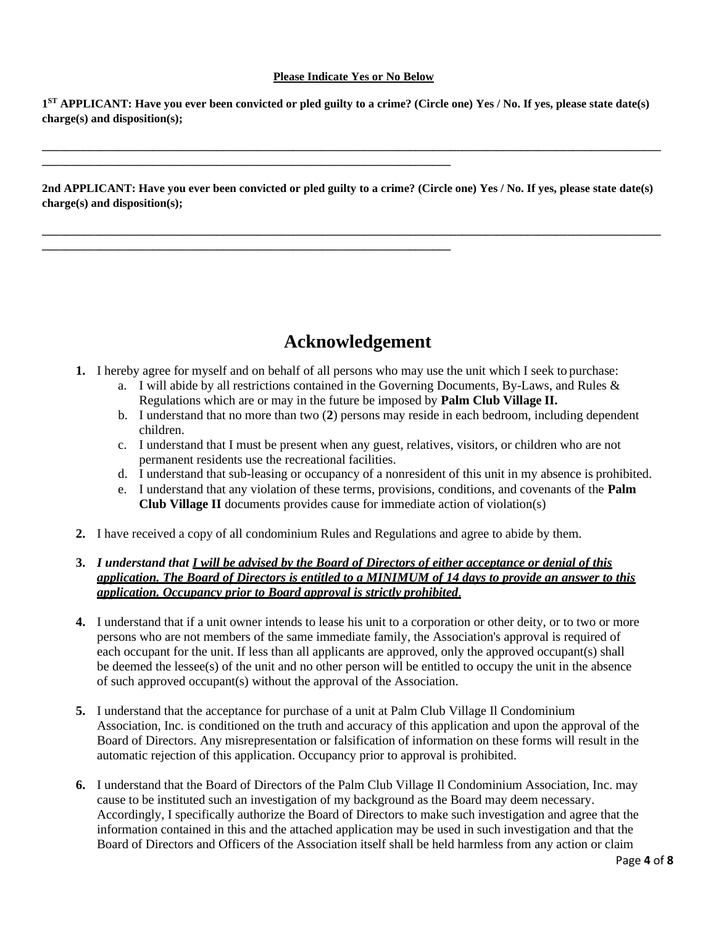### **Please Indicate Yes or No Below**

**1 ST APPLICANT: Have you ever been convicted or pled guilty to a crime? (Circle one) Yes / No. If yes, please state date(s) charge(s) and disposition(s);**

**\_\_\_\_\_\_\_\_\_\_\_\_\_\_\_\_\_\_\_\_\_\_\_\_\_\_\_\_\_\_\_\_\_\_\_\_\_\_\_\_\_\_\_\_\_\_\_\_\_\_\_\_\_\_\_\_\_\_\_\_\_\_\_\_\_\_\_\_\_\_\_\_\_\_\_\_\_\_\_\_\_\_\_\_\_\_\_\_\_\_\_\_\_\_\_\_\_\_\_\_\_\_\_\_\_\_**

**\_\_\_\_\_\_\_\_\_\_\_\_\_\_\_\_\_\_\_\_\_\_\_\_\_\_\_\_\_\_\_\_\_\_\_\_\_\_\_\_\_\_\_\_\_\_\_\_\_\_\_\_\_\_\_\_\_\_\_\_\_\_\_\_\_\_\_\_\_\_**

**\_\_\_\_\_\_\_\_\_\_\_\_\_\_\_\_\_\_\_\_\_\_\_\_\_\_\_\_\_\_\_\_\_\_\_\_\_\_\_\_\_\_\_\_\_\_\_\_\_\_\_\_\_\_\_\_\_\_\_\_\_\_\_\_\_\_\_\_\_\_**

**2nd APPLICANT: Have you ever been convicted or pled guilty to a crime? (Circle one) Yes / No. If yes, please state date(s) charge(s) and disposition(s);**

**\_\_\_\_\_\_\_\_\_\_\_\_\_\_\_\_\_\_\_\_\_\_\_\_\_\_\_\_\_\_\_\_\_\_\_\_\_\_\_\_\_\_\_\_\_\_\_\_\_\_\_\_\_\_\_\_\_\_\_\_\_\_\_\_\_\_\_\_\_\_\_\_\_\_\_\_\_\_\_\_\_\_\_\_\_\_\_\_\_\_\_\_\_\_\_\_\_\_\_\_\_\_\_\_\_\_**

# **Acknowledgement**

- **1.** I hereby agree for myself and on behalf of all persons who may use the unit which I seek to purchase:
	- a. I will abide by all restrictions contained in the Governing Documents, By-Laws, and Rules & Regulations which are or may in the future be imposed by **Palm Club Village II.**
	- b. I understand that no more than two (**2**) persons may reside in each bedroom, including dependent children.
	- c. I understand that I must be present when any guest, relatives, visitors, or children who are not permanent residents use the recreational facilities.
	- d. I understand that sub-leasing or occupancy of a nonresident of this unit in my absence is prohibited.
	- e. I understand that any violation of these terms, provisions, conditions, and covenants of the **Palm Club Village II** documents provides cause for immediate action of violation(s)
- **2.** I have received a copy of all condominium Rules and Regulations and agree to abide by them.

### **3.** *I understand that I will be advised by the Board of Directors of either acceptance or denial of this application. The Board of Directors is entitled to a MINIMUM of 14 days to provide an answer to this application. Occupancy prior to Board approval is strictly prohibited*.

- **4.** I understand that if a unit owner intends to lease his unit to a corporation or other deity, or to two or more persons who are not members of the same immediate family, the Association's approval is required of each occupant for the unit. If less than all applicants are approved, only the approved occupant(s) shall be deemed the lessee(s) of the unit and no other person will be entitled to occupy the unit in the absence of such approved occupant(s) without the approval of the Association.
- **5.** I understand that the acceptance for purchase of a unit at Palm Club Village Il Condominium Association, Inc. is conditioned on the truth and accuracy of this application and upon the approval of the Board of Directors. Any misrepresentation or falsification of information on these forms will result in the automatic rejection of this application. Occupancy prior to approval is prohibited.
- **6.** I understand that the Board of Directors of the Palm Club Village Il Condominium Association, Inc. may cause to be instituted such an investigation of my background as the Board may deem necessary. Accordingly, I specifically authorize the Board of Directors to make such investigation and agree that the information contained in this and the attached application may be used in such investigation and that the Board of Directors and Officers of the Association itself shall be held harmless from any action or claim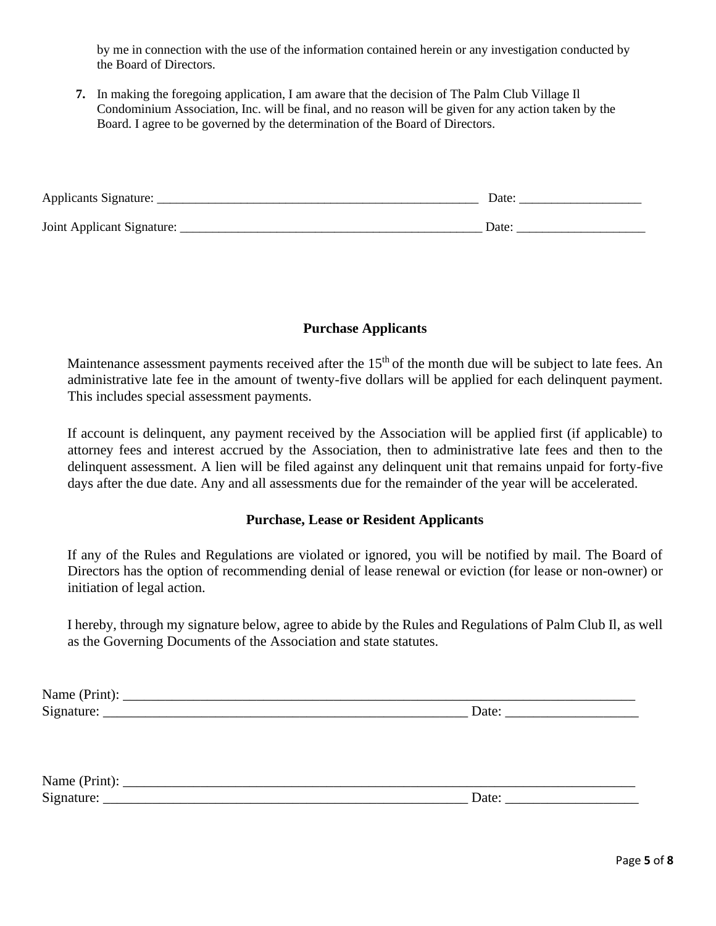by me in connection with the use of the information contained herein or any investigation conducted by the Board of Directors.

**7.** In making the foregoing application, I am aware that the decision of The Palm Club Village Il Condominium Association, Inc. will be final, and no reason will be given for any action taken by the Board. I agree to be governed by the determination of the Board of Directors.

| Applicants Signature:      | Date |
|----------------------------|------|
| Joint Applicant Signature: | Date |

### **Purchase Applicants**

Maintenance assessment payments received after the 15<sup>th</sup> of the month due will be subject to late fees. An administrative late fee in the amount of twenty-five dollars will be applied for each delinquent payment. This includes special assessment payments.

If account is delinquent, any payment received by the Association will be applied first (if applicable) to attorney fees and interest accrued by the Association, then to administrative late fees and then to the delinquent assessment. A lien will be filed against any delinquent unit that remains unpaid for forty-five days after the due date. Any and all assessments due for the remainder of the year will be accelerated.

### **Purchase, Lease or Resident Applicants**

If any of the Rules and Regulations are violated or ignored, you will be notified by mail. The Board of Directors has the option of recommending denial of lease renewal or eviction (for lease or non-owner) or initiation of legal action.

I hereby, through my signature below, agree to abide by the Rules and Regulations of Palm Club Il, as well as the Governing Documents of the Association and state statutes.

| - -<br>$\overline{1}$<br> |    |
|---------------------------|----|
| $\sim$                    | uw |
| ້                         | -  |
|                           |    |

| $\mathbf{N}^{\mathsf{T}}$<br>IУX<br>THAIR |      |
|-------------------------------------------|------|
| $\sim$<br>້<br>                           | Date |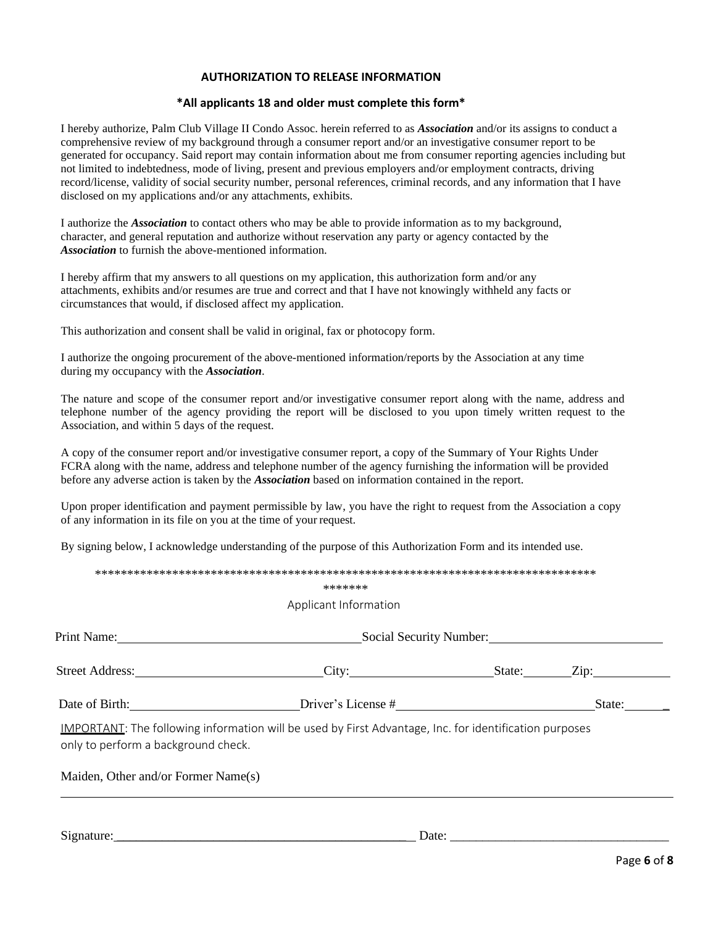### **AUTHORIZATION TO RELEASE INFORMATION**

### **\*All applicants 18 and older must complete this form\***

I hereby authorize, Palm Club Village II Condo Assoc. herein referred to as *Association* and/or its assigns to conduct a comprehensive review of my background through a consumer report and/or an investigative consumer report to be generated for occupancy. Said report may contain information about me from consumer reporting agencies including but not limited to indebtedness, mode of living, present and previous employers and/or employment contracts, driving record/license, validity of social security number, personal references, criminal records, and any information that I have disclosed on my applications and/or any attachments, exhibits.

I authorize the *Association* to contact others who may be able to provide information as to my background, character, and general reputation and authorize without reservation any party or agency contacted by the *Association* to furnish the above-mentioned information.

I hereby affirm that my answers to all questions on my application, this authorization form and/or any attachments, exhibits and/or resumes are true and correct and that I have not knowingly withheld any facts or circumstances that would, if disclosed affect my application.

This authorization and consent shall be valid in original, fax or photocopy form.

I authorize the ongoing procurement of the above-mentioned information/reports by the Association at any time during my occupancy with the *Association*.

The nature and scope of the consumer report and/or investigative consumer report along with the name, address and telephone number of the agency providing the report will be disclosed to you upon timely written request to the Association, and within 5 days of the request.

A copy of the consumer report and/or investigative consumer report, a copy of the Summary of Your Rights Under FCRA along with the name, address and telephone number of the agency furnishing the information will be provided before any adverse action is taken by the *Association* based on information contained in the report.

Upon proper identification and payment permissible by law, you have the right to request from the Association a copy of any information in its file on you at the time of your request.

By signing below, I acknowledge understanding of the purpose of this Authorization Form and its intended use.

|                                     | Applicant Information                                                                                  |                              |
|-------------------------------------|--------------------------------------------------------------------------------------------------------|------------------------------|
|                                     | Social Security Number:                                                                                |                              |
| Street Address:                     | City:                                                                                                  | $\overline{Lip}$ :<br>State: |
| Date of Birth:                      | Driver's License #                                                                                     | State:                       |
| only to perform a background check. | IMPORTANT: The following information will be used by First Advantage, Inc. for identification purposes |                              |
|                                     |                                                                                                        |                              |

Signature: \_\_\_\_\_\_\_\_\_\_\_\_\_\_\_\_\_\_\_\_\_\_\_\_\_\_\_\_\_\_\_\_\_\_\_\_\_\_\_\_\_\_\_\_\_ Date: \_\_\_\_\_\_\_\_\_\_\_\_\_\_\_\_\_\_\_\_\_\_\_\_\_\_\_\_\_\_\_\_\_\_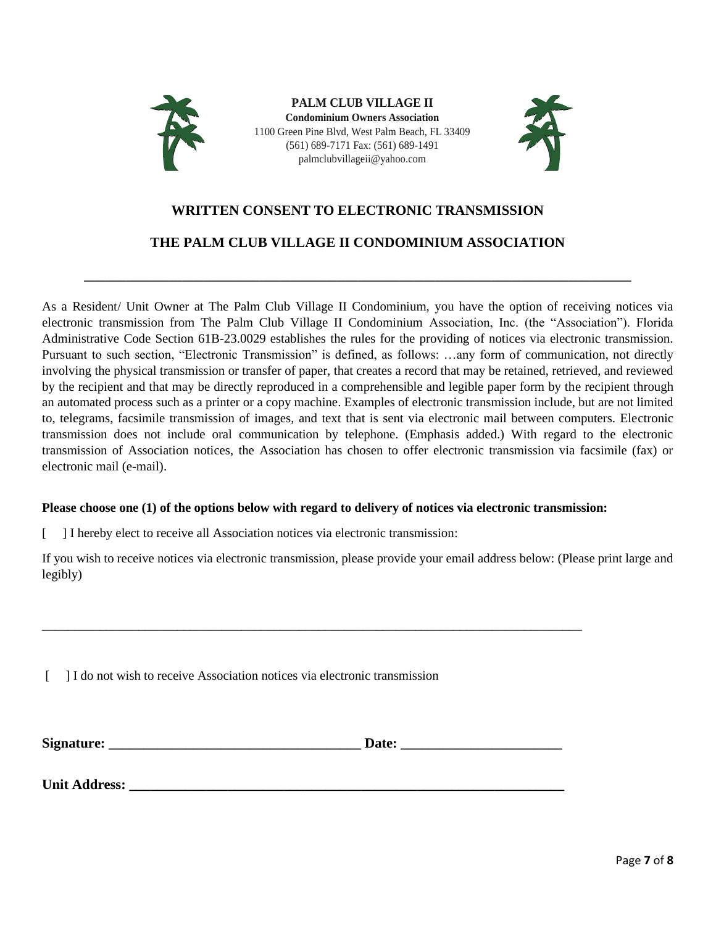

**PALM CLUB VILLAGE II Condominium Owners Association** 1100 Green Pine Blvd, West Palm Beach, FL 33409 (561) 689-7171 Fax: (561) 689-1491 palmclubvillageii@yahoo.com



# **WRITTEN CONSENT TO ELECTRONIC TRANSMISSION**

# **THE PALM CLUB VILLAGE II CONDOMINIUM ASSOCIATION**

**\_\_\_\_\_\_\_\_\_\_\_\_\_\_\_\_\_\_\_\_\_\_\_\_\_\_\_\_\_\_\_\_\_\_\_\_\_\_\_\_\_\_\_\_\_\_\_\_\_\_\_\_\_\_\_\_\_\_\_\_\_\_\_\_\_\_\_\_\_\_\_\_\_\_\_\_\_\_**

As a Resident/ Unit Owner at The Palm Club Village II Condominium, you have the option of receiving notices via electronic transmission from The Palm Club Village II Condominium Association, Inc. (the "Association"). Florida Administrative Code Section 61B-23.0029 establishes the rules for the providing of notices via electronic transmission. Pursuant to such section, "Electronic Transmission" is defined, as follows: …any form of communication, not directly involving the physical transmission or transfer of paper, that creates a record that may be retained, retrieved, and reviewed by the recipient and that may be directly reproduced in a comprehensible and legible paper form by the recipient through an automated process such as a printer or a copy machine. Examples of electronic transmission include, but are not limited to, telegrams, facsimile transmission of images, and text that is sent via electronic mail between computers. Electronic transmission does not include oral communication by telephone. (Emphasis added.) With regard to the electronic transmission of Association notices, the Association has chosen to offer electronic transmission via facsimile (fax) or electronic mail (e-mail).

### **Please choose one (1) of the options below with regard to delivery of notices via electronic transmission:**

[ ] I hereby elect to receive all Association notices via electronic transmission:

If you wish to receive notices via electronic transmission, please provide your email address below: (Please print large and legibly)

[ ] I do not wish to receive Association notices via electronic transmission

\_\_\_\_\_\_\_\_\_\_\_\_\_\_\_\_\_\_\_\_\_\_\_\_\_\_\_\_\_\_\_\_\_\_\_\_\_\_\_\_\_\_\_\_\_\_\_\_\_\_\_\_\_\_\_\_\_\_\_\_\_\_\_\_\_\_\_\_\_\_\_\_\_\_\_\_\_\_\_\_\_\_\_\_

Unit Address: